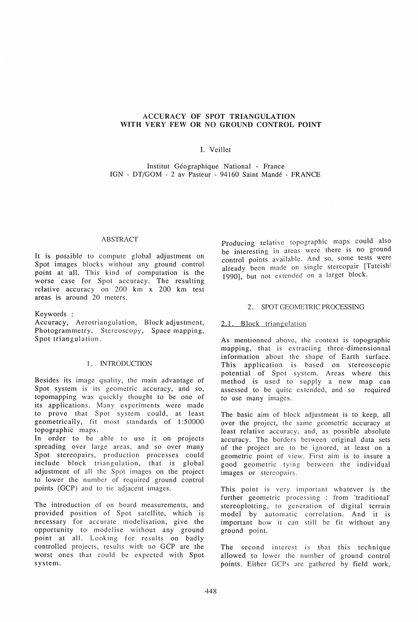### ACCURACY OF SPOT TRIANGULATION WITH VERY FEW OR NO GROUND CONTROL POINT

## I. Veillet

Institut Geographique National - France IGN - DT/GOM - 2 av Pasteur - 94160 Saint Mande - FRANCE

#### ABSTRACT

It is possible to compute global adjustment on Spot images blocks without any ground control point at all. This kind of computation is the worse case for Spot accuracy. The resulting relative accuracy on 200 km x 200 km test areas is around 20 meters.

Keywords:

Accuracy, Aerotriangulation, Block adjustment, Photogrammetry, Stereoscopy, Space mapping, Spot triangulation.

### 1. INTRODUCTION

Besides its image quality, the main advantage of Spot system is its geometric accuracy, and so, topomapping was quickly thought to be one of its applications. Many experiments were made to prove that Spot system could, at least geometrically, fit most standards of 1:50000 topographic maps.

In order to be able to use it on projects spreading over large areas, and so over many Spot stereopairs, production processes could include block triangulation, that is global adjustment of all the Spot images on the project to lower the number of required ground control points (GCP) and to tie adjacent images.

The introduction of on board measurements, and provided position of Spot satellite, which is necessary for accurate modelisation, give the opportunity to modelise without any ground point at all. Looking for results on badly controlled projects, results with no GCP are the worst ones that could be expected with Spot system.

Producing relative topographic maps could also be interesting in areas were there is no ground control points available. And so, some tests were already been made on single stereopair [Tateishi 1990], but not extended on a larger block.

#### 2. SPOT GEOMETRIC PROCESSING

#### 2.1. Block triangulation

As mentionned above, the context is topographic mapping, that is extracting three-dimensionnal information about the shape of Earth surface. This application is based on stereoscopic potential of Spot system. Areas where this method is used to supply a new map can assessed to be quite extended, and so required to use many images.

The basic aim of block adjustment is to keep, all over the project, the same geometric accuracy at least relative accuracy, and, as possible absolute accuracy. The borders between original data sets of the project are to be ignored, at least on a geometric point of view. First aim is to insure a good geometric tying between the individual images or stereopairs.

This point is very important whatever is the further geometric processing : from 'traditional' stereoplotting, to generation of digital terrain model by automatic correlation. And it is important how it can still be fit without any ground point.

The second interest is that this technique allowed to lower the number of ground control points. Either GCPs are gathered by field work,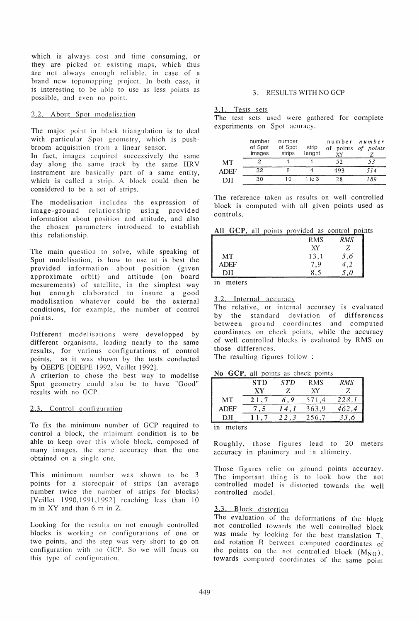which is always cost and time consuming, or they are picked on existing maps, which thus are not always enough reliable, in case of a brand new topomapping project. In both case, it is interesting to be able to use as less points as possible, and even no point.

### 2.2. About Spot modelisation

The major point in block triangulation is to deal with particular Spot geometry, which is pushbroom acquisition from a linear sensor.

In fact, images acquired successively the same day along the same track by the same HRV instrument are basically part of a same entity, which is called a strip. A block could then be considered to be a set of strips.

The modelisation includes the expression of image-ground relationship using provided information about position and attitude, and also the chosen parameters introduced to establish this relationship.

The main question to solve, while speaking of Spot modelisation, is how to use at is best the provided information about position (given approximate orbit) and attitude (on board mesurements) of satellite, in the simplest way but enough elaborated to insure a good modelisation whatever could be the external conditions, for example, the number of control points.

Different modelisations were developped by different organisms, leading nearly to the same results, for various configurations of control points, as it was shown by the tests conducted by OEEPE [OEEPE 1992, Veillet 1992].

A criterion to chose the best way to modelise Spot geometry could also be to have "Good" results with no GCP.

# 2.3. Control configuration

To fix the minimum number of GCP required to control a block, the minimum condition is to be able to keep over this whole block, composed of many images, the same accuracy than the one obtained on a single one.

This minimum number was shown to be 3 points for a stereopair of strips (an average number twice the number of strips for blocks) [Veillet 1990,1991,1992] reaching less than 10 m in XY and than 6 m in Z.

Looking for the results on not enough controlled blocks is working on configurations of one or two points, and the step was very short to go on configuration with no GCr. So we will focus on this type of configuration.

## 3. RESULTS WITH NO GCP

### 3.1. Tests sets

The test sets used were gathered for complete experiments on Spot acuracy.

|           | number<br>of Spot<br>images | number<br>of Spot<br>strips | strip<br>lenght | v٧  | number <i>number</i><br>of points of points |
|-----------|-----------------------------|-----------------------------|-----------------|-----|---------------------------------------------|
| <b>MT</b> |                             |                             |                 | 52  |                                             |
| ADEF      | 32                          |                             |                 | 493 | 514                                         |
| DII       | 30                          | 10                          | $1$ to $3$      | 28  | 189                                         |

The reference taken as results on well controlled block is computed with all given points used as controls.

All GCP, all points provided as control points

| _______ | and the company of the company of the company of the company of the company of the company of the company of the company of the company of the company of the company of the company of the company of the company of the comp |         |
|---------|--------------------------------------------------------------------------------------------------------------------------------------------------------------------------------------------------------------------------------|---------|
|         | <b>RMS</b>                                                                                                                                                                                                                     | RMS     |
|         | XY                                                                                                                                                                                                                             |         |
| MТ      | 13,1                                                                                                                                                                                                                           | $\cdot$ |
| ADEF    | - 9                                                                                                                                                                                                                            |         |
|         |                                                                                                                                                                                                                                |         |

in meters

3.2. Internal accuracy

The relative, or internal accuracy is evaluated by the standard deviation of differences between ground coordinates and computed coordinates on check points, while the accuracy of well controlled blocks is evaluated by RMS on those differences.

The resulting figures follow:

### No GCP, all points as check points

|      | <b>STD</b> | <b>STD</b> | <b>RMS</b> | <b>RMS</b> |
|------|------------|------------|------------|------------|
|      | ХV         |            | XΥ         |            |
| MT   |            |            | 571        | 228        |
| ADEF |            |            | 363,9      |            |
| DЛ   |            | 22.3       | 256.7      |            |
|      |            |            |            |            |

in meters

Roughly, those figures lead to 20 meters accuracy in planimery and in altimetry.

Those figures relie on ground points accuracy. The important thing is to look how the not controlled model is distorted towards the well controlled model.

# 3.3. Block distortion

The evaluation of the deformations of the block not controlled towards the well controlled block was made by looking for the best translation T, and rotation R between computed coordinates of the points on the not controlled block  $(M_{NO})$ , towards computed coordinates of the same point